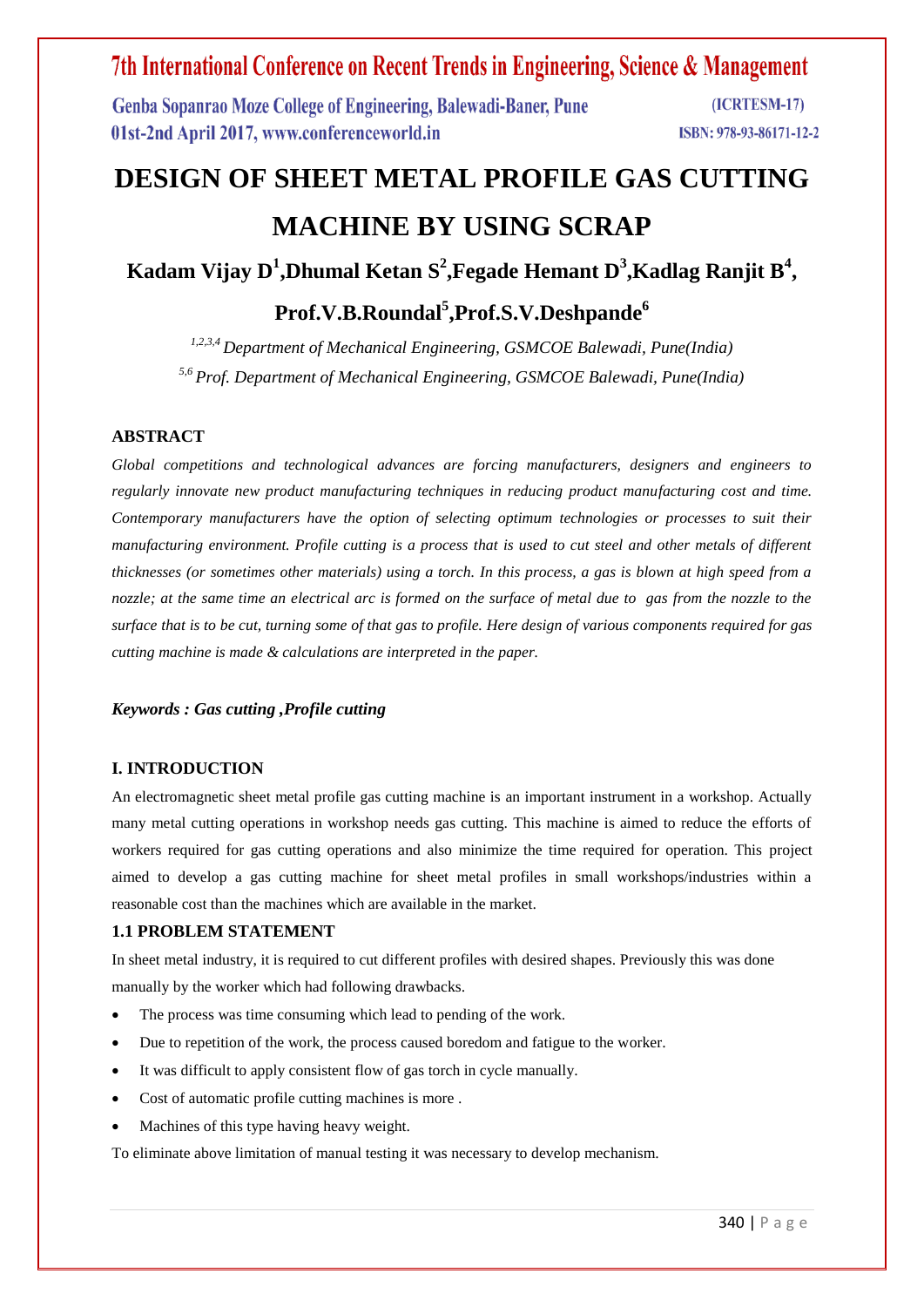Genba Sopanrao Moze College of Engineering, Balewadi-Baner, Pune 01st-2nd April 2017, www.conferenceworld.in

# **DESIGN OF SHEET METAL PROFILE GAS CUTTING MACHINE BY USING SCRAP**

**Kadam Vijay D<sup>1</sup> ,Dhumal Ketan S<sup>2</sup> ,Fegade Hemant D<sup>3</sup> ,Kadlag Ranjit B<sup>4</sup> ,**

# **Prof.V.B.Roundal<sup>5</sup> ,Prof.S.V.Deshpande<sup>6</sup>**

*1,2,3,4 Department of Mechanical Engineering, GSMCOE Balewadi, Pune(India) 5,6 Prof. Department of Mechanical Engineering, GSMCOE Balewadi, Pune(India)*

### **ABSTRACT**

*Global competitions and technological advances are forcing manufacturers, designers and engineers to regularly innovate new product manufacturing techniques in reducing product manufacturing cost and time. Contemporary manufacturers have the option of selecting optimum technologies or processes to suit their manufacturing environment. Profile cutting is a process that is used to cut steel and other metals of different thicknesses (or sometimes other materials) using a torch. In this process, a gas is blown at high speed from a nozzle; at the same time an electrical arc is formed on the surface of metal due to gas from the nozzle to the surface that is to be cut, turning some of that gas to profile. Here design of various components required for gas cutting machine is made & calculations are interpreted in the paper.*

### *Keywords : Gas cutting ,Profile cutting*

### **I. INTRODUCTION**

An electromagnetic sheet metal profile gas cutting machine is an important instrument in a workshop. Actually many metal cutting operations in workshop needs gas cutting. This machine is aimed to reduce the efforts of workers required for gas cutting operations and also minimize the time required for operation. This project aimed to develop a gas cutting machine for sheet metal profiles in small workshops/industries within a reasonable cost than the machines which are available in the market.

### **1.1 PROBLEM STATEMENT**

In sheet metal industry, it is required to cut different profiles with desired shapes. Previously this was done manually by the worker which had following drawbacks.

- The process was time consuming which lead to pending of the work.
- Due to repetition of the work, the process caused boredom and fatigue to the worker.
- It was difficult to apply consistent flow of gas torch in cycle manually.
- Cost of automatic profile cutting machines is more .
- Machines of this type having heavy weight.

To eliminate above limitation of manual testing it was necessary to develop mechanism.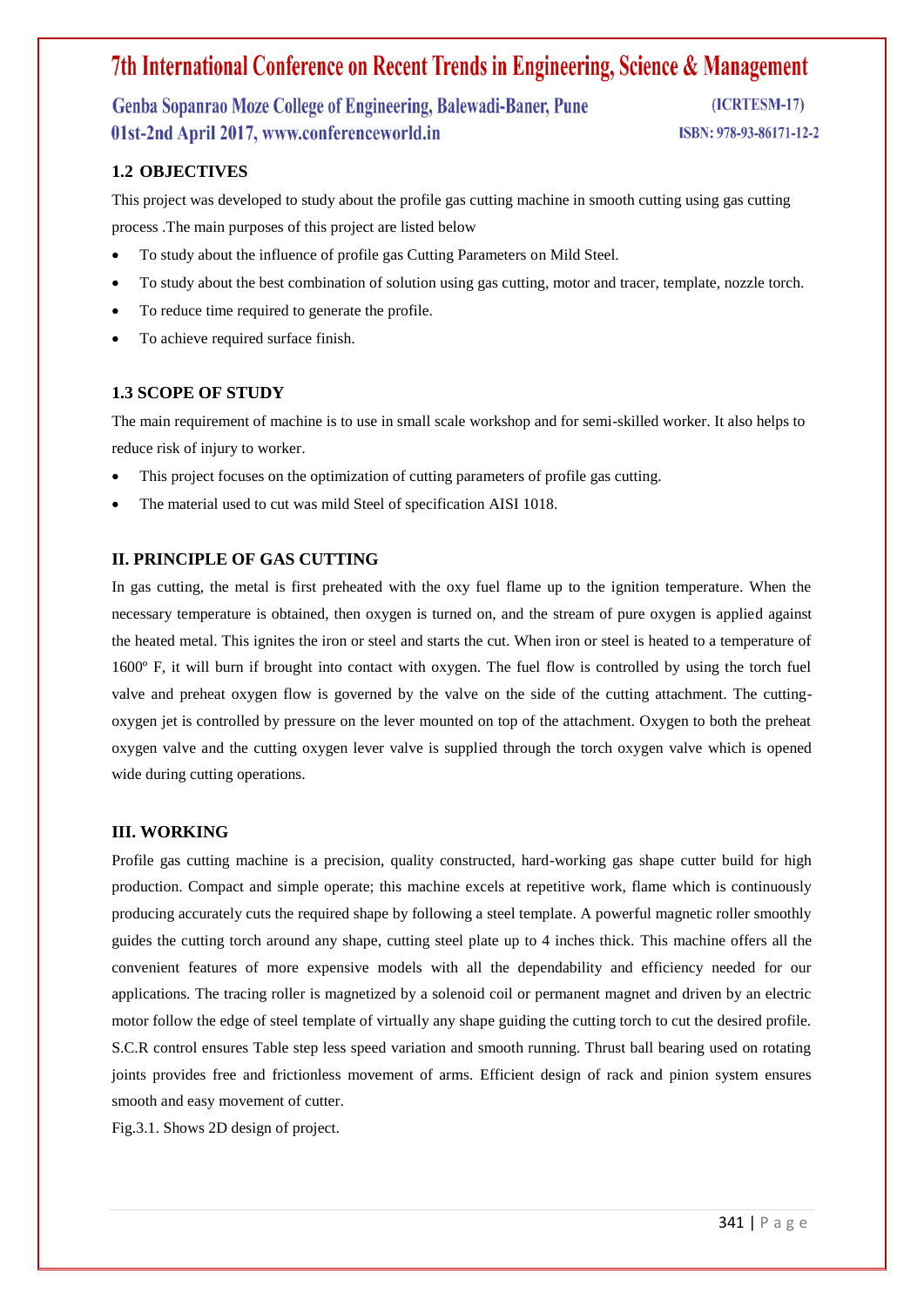# Genba Sopanrao Moze College of Engineering, Balewadi-Baner, Pune 01st-2nd April 2017, www.conferenceworld.in

(ICRTESM-17)

ISBN: 978-93-86171-12-2

# **1.2 OBJECTIVES**

This project was developed to study about the profile gas cutting machine in smooth cutting using gas cutting process .The main purposes of this project are listed below

- To study about the influence of profile gas Cutting Parameters on Mild Steel.
- To study about the best combination of solution using gas cutting, motor and tracer, template, nozzle torch.
- To reduce time required to generate the profile.
- To achieve required surface finish.

### **1.3 SCOPE OF STUDY**

The main requirement of machine is to use in small scale workshop and for semi-skilled worker. It also helps to reduce risk of injury to worker.

- This project focuses on the optimization of cutting parameters of profile gas cutting.
- The material used to cut was mild Steel of specification AISI 1018.

### **II. PRINCIPLE OF GAS CUTTING**

In gas cutting, the metal is first preheated with the oxy fuel flame up to the ignition temperature. When the necessary temperature is obtained, then oxygen is turned on, and the stream of pure oxygen is applied against the heated metal. This ignites the iron or steel and starts the cut. When iron or steel is heated to a temperature of 1600º F, it will burn if brought into contact with oxygen. The fuel flow is controlled by using the torch fuel valve and preheat oxygen flow is governed by the valve on the side of the cutting attachment. The cuttingoxygen jet is controlled by pressure on the lever mounted on top of the attachment. Oxygen to both the preheat oxygen valve and the cutting oxygen lever valve is supplied through the torch oxygen valve which is opened wide during cutting operations.

#### **III. WORKING**

Profile gas cutting machine is a precision, quality constructed, hard-working gas shape cutter build for high production. Compact and simple operate; this machine excels at repetitive work, flame which is continuously producing accurately cuts the required shape by following a steel template. A powerful magnetic roller smoothly guides the cutting torch around any shape, cutting steel plate up to 4 inches thick. This machine offers all the convenient features of more expensive models with all the dependability and efficiency needed for our applications. The tracing roller is magnetized by a solenoid coil or permanent magnet and driven by an electric motor follow the edge of steel template of virtually any shape guiding the cutting torch to cut the desired profile. S.C.R control ensures Table step less speed variation and smooth running. Thrust ball bearing used on rotating joints provides free and frictionless movement of arms. Efficient design of rack and pinion system ensures smooth and easy movement of cutter.

Fig.3.1. Shows 2D design of project.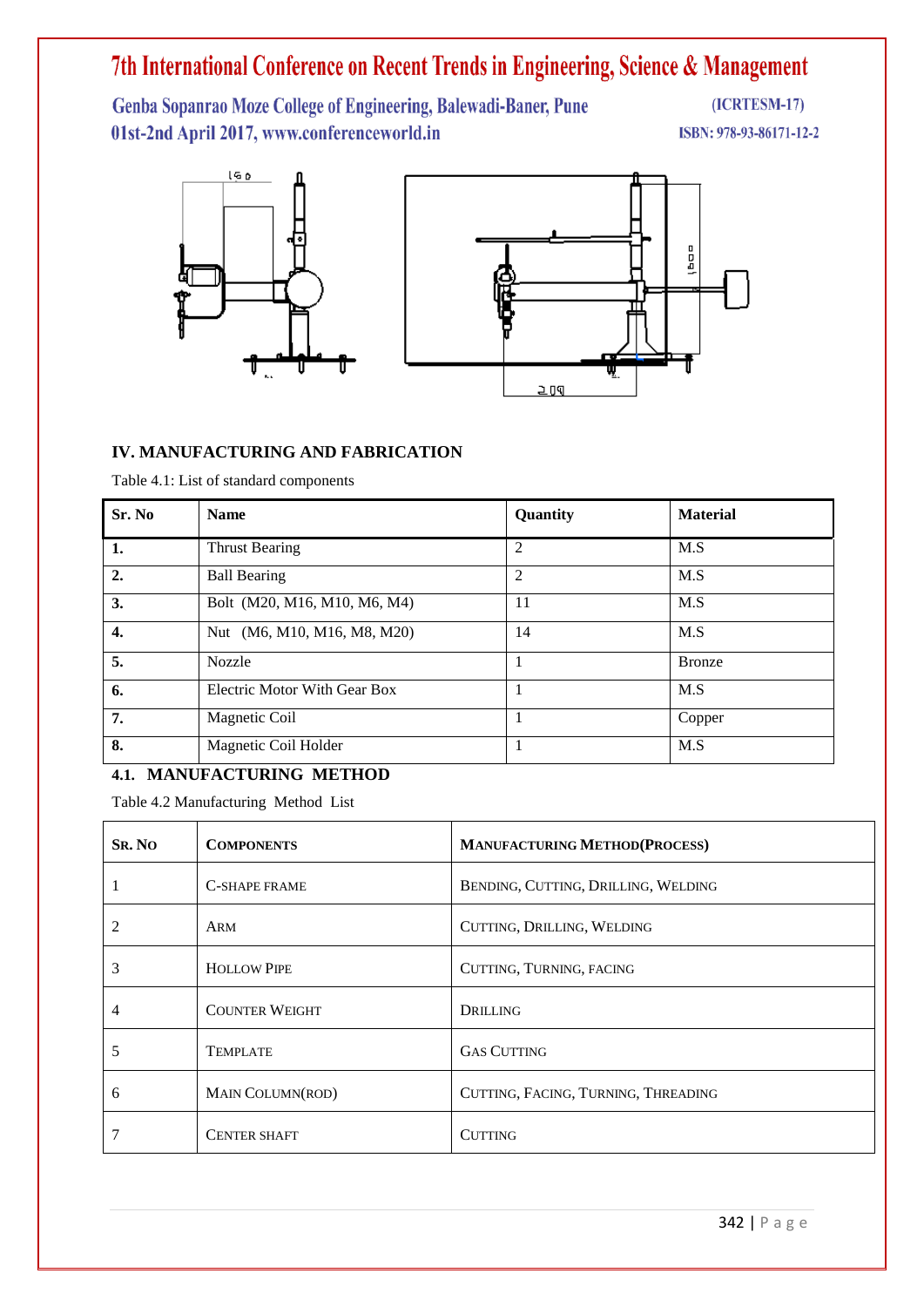Genba Sopanrao Moze College of Engineering, Balewadi-Baner, Pune 01st-2nd April 2017, www.conferenceworld.in

 $(ICRTESM-17)$ 

ISBN: 978-93-86171-12-2



### **IV. MANUFACTURING AND FABRICATION**

Table 4.1: List of standard components

| Sr. No           | <b>Name</b>                  | Quantity       | <b>Material</b> |
|------------------|------------------------------|----------------|-----------------|
| 1.               | <b>Thrust Bearing</b>        | 2              | M.S             |
| $\overline{2}$ . | <b>Ball Bearing</b>          | $\overline{2}$ | M.S             |
| 3.               | Bolt (M20, M16, M10, M6, M4) | 11             | M.S             |
| 4.               | Nut (M6, M10, M16, M8, M20)  | 14             | M.S             |
| 5.               | <b>Nozzle</b>                | 1              | <b>Bronze</b>   |
| 6.               | Electric Motor With Gear Box | 1              | M.S             |
| 7.               | Magnetic Coil                | 1              | Copper          |
| 8.               | Magnetic Coil Holder         | 1              | M.S             |

### **4.1. MANUFACTURING METHOD**

Table 4.2 Manufacturing Method List

| <b>SR. NO</b> | <b>COMPONENTS</b>     | <b>MANUFACTURING METHOD(PROCESS)</b> |
|---------------|-----------------------|--------------------------------------|
|               | <b>C-SHAPE FRAME</b>  | BENDING, CUTTING, DRILLING, WELDING  |
|               | ARM                   | CUTTING, DRILLING, WELDING           |
| 3             | <b>HOLLOW PIPE</b>    | CUTTING, TURNING, FACING             |
| 4             | <b>COUNTER WEIGHT</b> | DRILLING                             |
| ⊃             | <b>TEMPLATE</b>       | <b>GAS CUTTING</b>                   |
| 6             | MAIN COLUMN(ROD)      | CUTTING, FACING, TURNING, THREADING  |
|               | <b>CENTER SHAFT</b>   | <b>CUTTING</b>                       |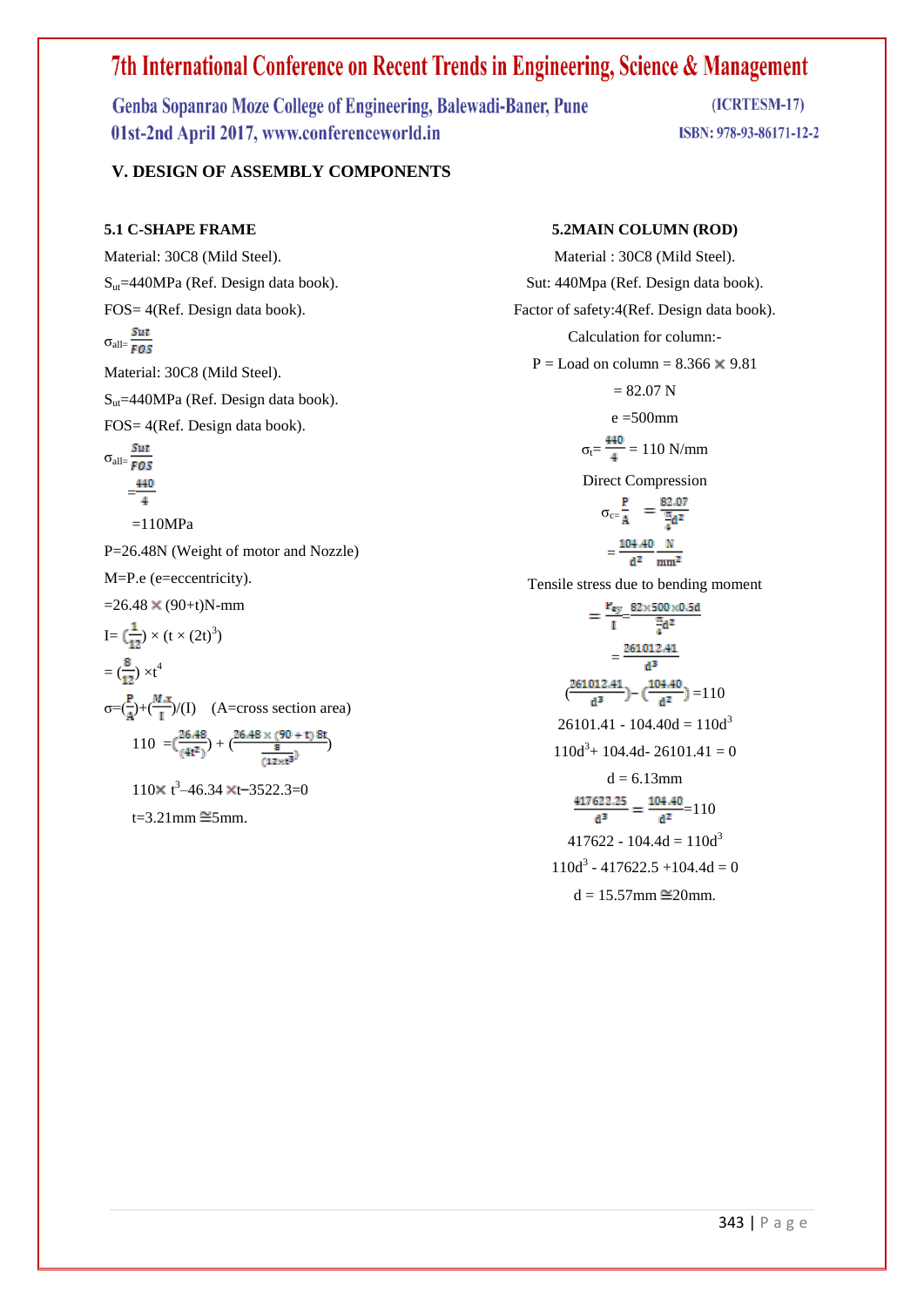Genba Sopanrao Moze College of Engineering, Balewadi-Baner, Pune 01st-2nd April 2017, www.conferenceworld.in

(ICRTESM-17) ISBN: 978-93-86171-12-2

### **V. DESIGN OF ASSEMBLY COMPONENTS**

#### **5.1 C-SHAPE FRAME**

Material: 30C8 (Mild Steel).  $S<sub>ut</sub>=440MPa$  (Ref. Design data book). FOS= 4(Ref. Design data book).  $\sigma_{\text{all}} = \frac{Sut}{FOS}$ Material: 30C8 (Mild Steel). Sut=440MPa (Ref. Design data book). FOS= 4(Ref. Design data book).  $σ<sub>all</sub> = \frac{Sut}{FOS}$  $\frac{440}{4}$ 

 $=110MPa$ 

P=26.48N (Weight of motor and Nozzle)

M=P.e (e=eccentricity).

 $=26.48 \times (90+t)N-mm$ 

I = 
$$
(\frac{1}{12}) \times (t \times (2t)^3)
$$
  
\n=  $(\frac{8}{12}) \times t^4$   
\n $\sigma = (\frac{P}{A}) + (\frac{M \cdot x}{I})/(I)$  (A=cross section area)  
\n= 110 -  $(\frac{26.48}{I}) + (\frac{26.48 \times (90 + t) 8t}{I})$ 

110 =  $\left(\frac{1}{(4t^2)}\right) + \left(\frac{8}{(12 \times t^3)}\right)$ 

 $110 \times t^3 - 46.34 \times t - 3522.3 = 0$ 

 $t=3.21$ mm  $\cong$ 5mm.

#### **5.2MAIN COLUMN (ROD)**

Material : 30C8 (Mild Steel). Sut: 440Mpa (Ref. Design data book). Factor of safety:4(Ref. Design data book). Calculation for column:-  $P =$ Load on column = 8.366  $\times$  9.81  $= 82.07$  N  $e = 500$ mm  $\sigma_t = \frac{440}{4} = 110 \text{ N/mm}$ Direct Compression  $\sigma_{c} = \frac{P}{A}$  =  $\frac{82.07}{4}$  $=\frac{104.40}{d^2} \frac{N}{mm^2}$ Tensile stress due to bending moment  $=\frac{P_{ey}}{I}=\frac{82\times500\times0.5d}{\frac{\pi}{4}d^2}$  $=\frac{261012.41}{d^3}$  $\left(\frac{261012.41}{d^3}\right) - \left(\frac{104.40}{d^2}\right) = 110$  $26101.41 - 104.40d = 110d<sup>3</sup>$  $110d^3$  + 104.4d - 26101.41 = 0  $d = 6.13$ mm  $\frac{417622.25}{d^3} = \frac{104.40}{d^2} = 110$  $417622 - 104.4d = 110d<sup>3</sup>$  $110d^3 - 417622.5 + 104.4d = 0$  $d = 15.57$ mm  $\cong$ 20mm.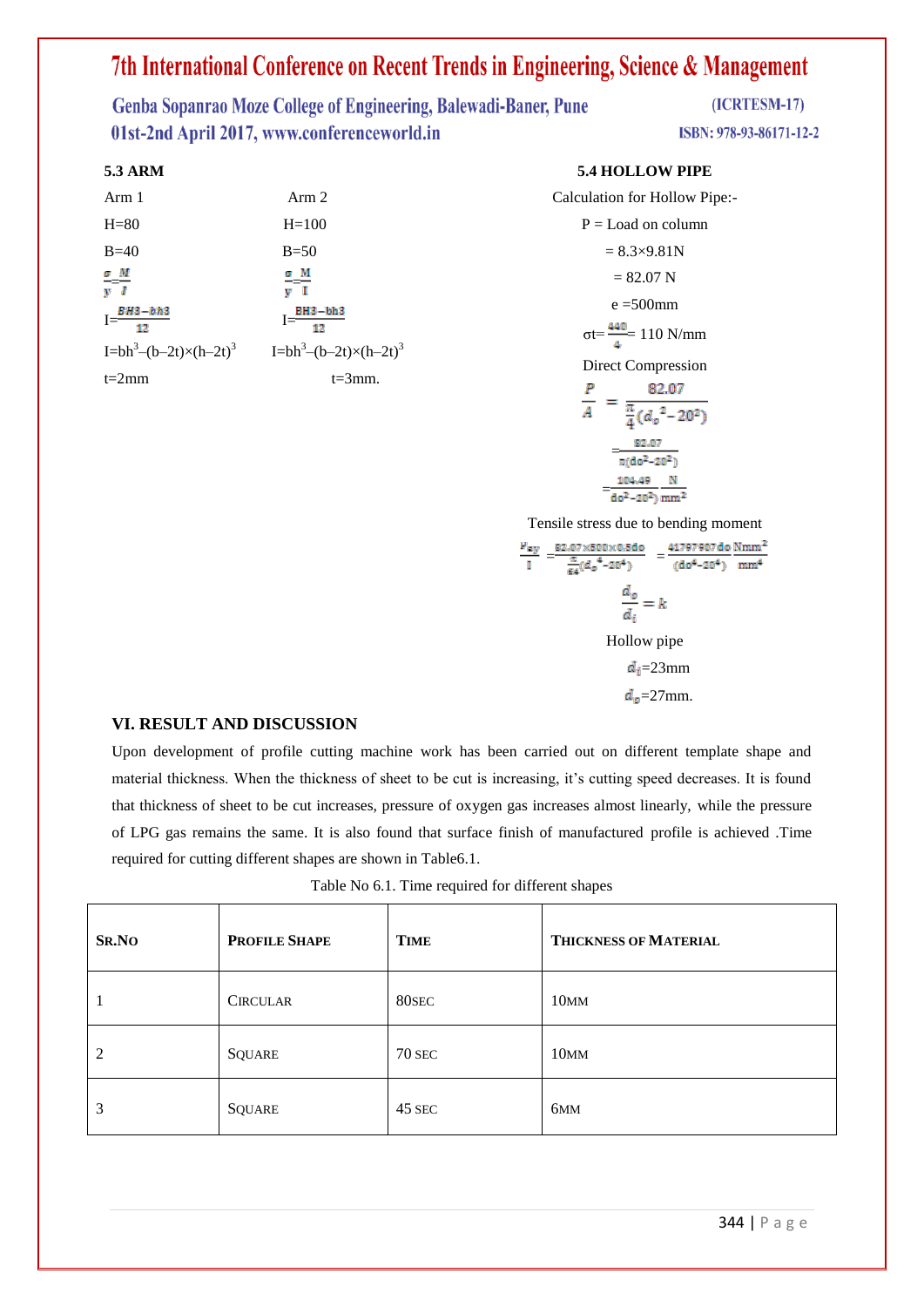Genba Sopanrao Moze College of Engineering, Balewadi-Baner, Pune 01st-2nd April 2017, www.conferenceworld.in

#### **5.3 ARM**

| Arm 1                            | Arm 2                                                  |
|----------------------------------|--------------------------------------------------------|
| $H=80$                           | $H=100$                                                |
| $B=40$                           | $B=50$                                                 |
| $\frac{\sigma}{v} = \frac{M}{I}$ | $\frac{\sigma}{v} = \frac{M}{I}$                       |
| $I = \frac{BH3-bh3}{42}$<br>12   | $I =$ $\frac{BH3 - bh3}{1}$                            |
| $I=bh^3-(b-2t)\times(h-2t)^3$    | I=bh <sup>3</sup> -(b-2t) $\times$ (h-2t) <sup>3</sup> |
| $t=2mm$                          | $t = 3$ mm.                                            |

#### **5.4 HOLLOW PIPE**

| Calculation for Hollow Pipe:-                 |
|-----------------------------------------------|
| $P =$ Load on column                          |
| $= 8.3 \times 9.81 N$                         |
| $= 82.07$ N                                   |
| $e = 500$ mm                                  |
| $\sigma t = \frac{440}{4} = 110 \text{ N/mm}$ |
| Direct Compression                            |
| 82.07<br>P                                    |
| $\frac{\pi}{4}$ $(d_o^2 - 20^2)$              |
| 82.07<br>$\pi(do^2 - 20^2)$                   |
| 104.49<br>$do^2 - 20^2$ ) mm <sup>2</sup>     |

Tensile stress due to bending moment

$$
\frac{\mu_{ey}}{1} = \frac{82.07 \times 500 \times 0.5d0}{\frac{\pi}{64} (d_0^4 - 20^4)} = \frac{41797907d0 Nmm^2}{(d_0^4 - 20^4)} \frac{Nmm^2}{mm^4}
$$

$$
\frac{d_0}{d_i} = k
$$
Hollow pipe
$$
d_i = 23 \text{mm}
$$

$$
d_0 = 27 \text{mm}.
$$

#### **VI. RESULT AND DISCUSSION**

Upon development of profile cutting machine work has been carried out on different template shape and material thickness. When the thickness of sheet to be cut is increasing, it's cutting speed decreases. It is found that thickness of sheet to be cut increases, pressure of oxygen gas increases almost linearly, while the pressure of LPG gas remains the same. It is also found that surface finish of manufactured profile is achieved .Time required for cutting different shapes are shown in Table6.1.

| Table No 6.1. Time required for different shapes |  |  |
|--------------------------------------------------|--|--|
|--------------------------------------------------|--|--|

| SR.NO | <b>PROFILE SHAPE</b> | <b>TIME</b>   | <b>THICKNESS OF MATERIAL</b> |
|-------|----------------------|---------------|------------------------------|
| 1     | <b>CIRCULAR</b>      | 80SEC         | 10 <sub>MM</sub>             |
| 2     | <b>SQUARE</b>        | <b>70 SEC</b> | 10 <sub>MM</sub>             |
| 3     | <b>SQUARE</b>        | 45 SEC        | 6 <sub>MM</sub>              |

(ICRTESM-17)

ISBN: 978-93-86171-12-2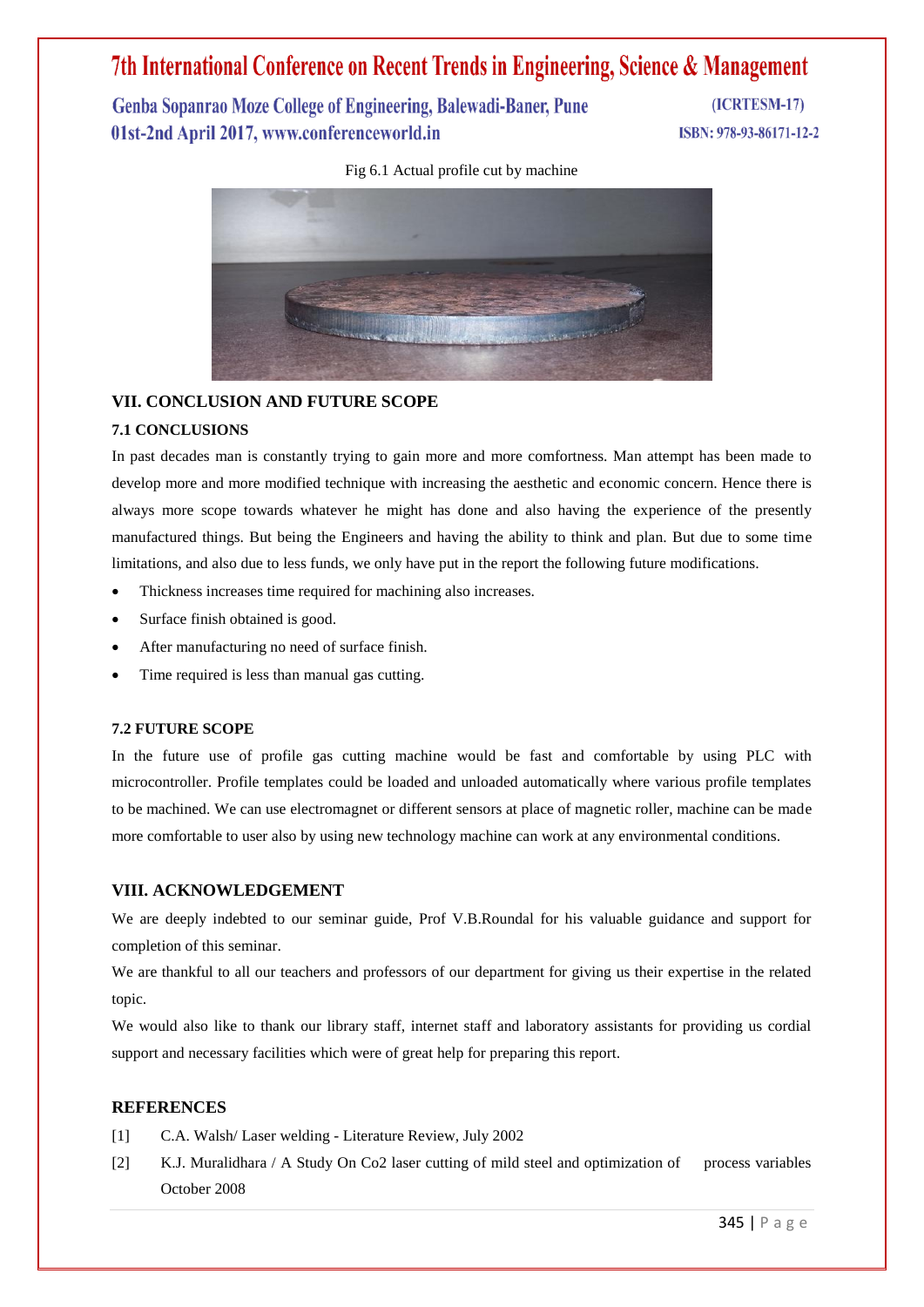Genba Sopanrao Moze College of Engineering, Balewadi-Baner, Pune 01st-2nd April 2017, www.conferenceworld.in

(ICRTESM-17) ISBN: 978-93-86171-12-2

Fig 6.1 Actual profile cut by machine



#### **VII. CONCLUSION AND FUTURE SCOPE**

#### **7.1 CONCLUSIONS**

In past decades man is constantly trying to gain more and more comfortness. Man attempt has been made to develop more and more modified technique with increasing the aesthetic and economic concern. Hence there is always more scope towards whatever he might has done and also having the experience of the presently manufactured things. But being the Engineers and having the ability to think and plan. But due to some time limitations, and also due to less funds, we only have put in the report the following future modifications.

- Thickness increases time required for machining also increases.
- Surface finish obtained is good.
- After manufacturing no need of surface finish.
- Time required is less than manual gas cutting.

#### **7.2 FUTURE SCOPE**

In the future use of profile gas cutting machine would be fast and comfortable by using PLC with microcontroller. Profile templates could be loaded and unloaded automatically where various profile templates to be machined. We can use electromagnet or different sensors at place of magnetic roller, machine can be made more comfortable to user also by using new technology machine can work at any environmental conditions.

#### **VIII. ACKNOWLEDGEMENT**

We are deeply indebted to our seminar guide, Prof V.B.Roundal for his valuable guidance and support for completion of this seminar.

We are thankful to all our teachers and professors of our department for giving us their expertise in the related topic.

We would also like to thank our library staff, internet staff and laboratory assistants for providing us cordial support and necessary facilities which were of great help for preparing this report.

#### **REFERENCES**

- [1] C.A. Walsh/ Laser welding Literature Review, July 2002
- [2] K.J. Muralidhara / A Study On Co2 laser cutting of mild steel and optimization of process variables October 2008